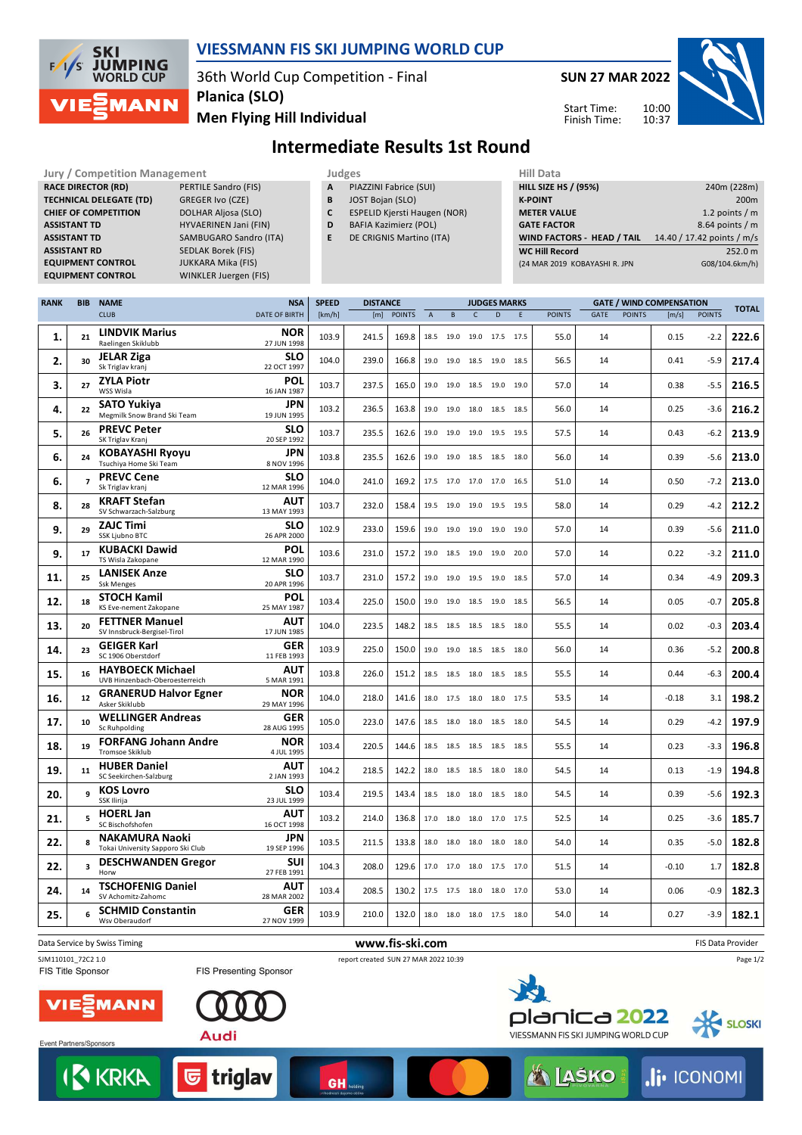

#### **VIESSMANN FIS SKI JUMPING WORLD CUP**

36th World Cup Competition - Final **Planica (SLO)**

**Men Flying Hill Individual**

**SUN 27 MAR 2022** 10:00

10:37



Start Time: Finish Time:

## **Intermediate Results 1st Round**

**Jury / Competition Management Management All Data** Judges **Hill Data RACE DIRECTOR (RD)** PERTILE Sandro (FIS) **TECHNICAL DELEGATE (TD)** GREGER Ivo (CZE) **CHIEF OF COMPETITION** DOLHAR Aljosa (SLO) **ASSISTANT TD** HYVAERINEN Jani (FIN) **ASSISTANT TD** SAMBUGARO Sandro (ITA) **ASSISTANT RD** SEDLAK Borek (FIS) **EQUIPMENT CONTROL** JUKKARA Mika (FIS)

**EQUIPMENT CONTROL** WINKLER Juergen (FIS)

- **A** PIAZZINI Fabrice (SUI)
- **B** JOST Bojan (SLO)
- **C** ESPELID Kjersti Haugen (NOR)
- **D** BAFIA Kazimierz (POL)
- **E** DE CRIGNIS Martino (ITA)
- 

| <b>HILL SIZE HS / (95%)</b>   | 240m (228m)                |
|-------------------------------|----------------------------|
| <b>K-POINT</b>                | 200 <sub>m</sub>           |
| <b>METER VALUE</b>            | 1.2 points $/m$            |
| <b>GATE FACTOR</b>            | 8.64 points $/m$           |
| WIND FACTORS - HEAD / TAIL    | 14.40 / 17.42 points / m/s |
| <b>WC Hill Record</b>         | 252.0 m                    |
| (24 MAR 2019 KOBAYASHI R. JPN | G08/104.6km/h)             |
|                               |                            |

| <b>RANK</b> | <b>BIB</b>     | <b>NAME</b>                                                | <b>NSA</b>                | <b>SPEED</b> | <b>DISTANCE</b> |               |                           |                |                          | <b>JUDGES MARKS</b> |               |      |               | <b>GATE / WIND COMPENSATION</b> |               | <b>TOTAL</b> |
|-------------|----------------|------------------------------------------------------------|---------------------------|--------------|-----------------|---------------|---------------------------|----------------|--------------------------|---------------------|---------------|------|---------------|---------------------------------|---------------|--------------|
|             |                | <b>CLUB</b>                                                | <b>DATE OF BIRTH</b>      | [km/h]       | [m]             | <b>POINTS</b> | $\boldsymbol{\mathsf{A}}$ | B              | $\mathsf{C}$             | D                   | <b>POINTS</b> | GATE | <b>POINTS</b> | [m/s]                           | <b>POINTS</b> |              |
| 1.          | 21             | <b>LINDVIK Marius</b><br>Raelingen Skiklubb                | <b>NOR</b><br>27 JUN 1998 | 103.9        | 241.5           | 169.8         |                           | 18.5 19.0 19.0 |                          | 17.5 17.5           | 55.0          | 14   |               | 0.15                            | $-2.2$        | 222.6        |
| 2.          | 30             | <b>JELAR Ziga</b><br>Sk Triglav kranj                      | <b>SLO</b><br>22 OCT 1997 | 104.0        | 239.0           | 166.8         |                           |                | 19.0 19.0 18.5 19.0 18.5 |                     | 56.5          | 14   |               | 0.41                            | $-5.9$        | 217.4        |
| 3.          | 27             | <b>ZYLA Piotr</b><br>WSS Wisla                             | POL<br>16 JAN 1987        | 103.7        | 237.5           | 165.0         |                           | 19.0 19.0 18.5 |                          | 19.0 19.0           | 57.0          | 14   |               | 0.38                            | $-5.5$        | 216.5        |
| 4.          | 22             | <b>SATO Yukiya</b><br>Megmilk Snow Brand Ski Team          | <b>JPN</b><br>19 JUN 1995 | 103.2        | 236.5           | 163.8         |                           | 19.0 19.0 18.0 |                          | 18.5 18.5           | 56.0          | 14   |               | 0.25                            | $-3.6$        | 216.2        |
| 5.          | 26             | <b>PREVC Peter</b><br>SK Triglav Kranj                     | <b>SLO</b><br>20 SEP 1992 | 103.7        | 235.5           | 162.6         |                           | 19.0 19.0      | 19.0                     | 19.5 19.5           | 57.5          | 14   |               | 0.43                            | $-6.2$        | 213.9        |
| 6.          | 24             | <b>KOBAYASHI Ryoyu</b><br>Tsuchiya Home Ski Team           | <b>JPN</b><br>8 NOV 1996  | 103.8        | 235.5           | 162.6         |                           |                | 19.0 19.0 18.5 18.5 18.0 |                     | 56.0          | 14   |               | 0.39                            | $-5.6$        | 213.0        |
| 6.          | $\overline{ }$ | <b>PREVC Cene</b><br>Sk Triglav kranj                      | <b>SLO</b><br>12 MAR 1996 | 104.0        | 241.0           | 169.2         |                           |                | 17.5 17.0 17.0 17.0 16.5 |                     | 51.0          | 14   |               | 0.50                            | $-7.2$        | 213.0        |
| 8.          | 28             | <b>KRAFT Stefan</b><br>SV Schwarzach-Salzburg              | <b>AUT</b><br>13 MAY 1993 | 103.7        | 232.0           | 158.4         |                           | 19.5 19.0 19.0 |                          | 19.5 19.5           | 58.0          | 14   |               | 0.29                            | $-4.2$        | 212.2        |
| 9.          | 29             | <b>ZAJC Timi</b><br><b>SSK Ljubno BTC</b>                  | <b>SLO</b><br>26 APR 2000 | 102.9        | 233.0           | 159.6         |                           | 19.0 19.0 19.0 |                          | 19.0 19.0           | 57.0          | 14   |               | 0.39                            | $-5.6$        | 211.0        |
| 9.          | 17             | <b>KUBACKI Dawid</b><br>TS Wisla Zakopane                  | POL<br>12 MAR 1990        | 103.6        | 231.0           | 157.2         |                           | 19.0 18.5 19.0 |                          | 19.0 20.0           | 57.0          | 14   |               | 0.22                            | $-3.2$        | 211.0        |
| 11.         | 25             | <b>LANISEK Anze</b><br><b>Ssk Menges</b>                   | <b>SLO</b><br>20 APR 1996 | 103.7        | 231.0           | 157.2         | 19.0                      | 19.0           | 19.5                     | 19.0 18.5           | 57.0          | 14   |               | 0.34                            | $-4.9$        | 209.3        |
| 12.         | 18             | <b>STOCH Kamil</b><br>KS Eve-nement Zakopane               | POL<br>25 MAY 1987        | 103.4        | 225.0           | 150.0         |                           |                | 19.0 19.0 18.5 19.0 18.5 |                     | 56.5          | 14   |               | 0.05                            | $-0.7$        | 205.8        |
| 13.         | 20             | <b>FETTNER Manuel</b><br>SV Innsbruck-Bergisel-Tirol       | <b>AUT</b><br>17 JUN 1985 | 104.0        | 223.5           | 148.2         |                           |                | 18.5 18.5 18.5 18.5 18.0 |                     | 55.5          | 14   |               | 0.02                            | $-0.3$        | 203.4        |
| 14.         | 23             | <b>GEIGER Karl</b><br>SC 1906 Oberstdorf                   | <b>GER</b><br>11 FEB 1993 | 103.9        | 225.0           | 150.0         | 19.0                      | 19.0 18.5      |                          | 18.5 18.0           | 56.0          | 14   |               | 0.36                            | $-5.2$        | 200.8        |
| 15.         | 16             | <b>HAYBOECK Michael</b><br>UVB Hinzenbach-Oberoesterreich  | <b>AUT</b><br>5 MAR 1991  | 103.8        | 226.0           | 151.2         |                           | 18.5 18.5 18.0 |                          | 18.5 18.5           | 55.5          | 14   |               | 0.44                            | $-6.3$        | 200.4        |
| 16.         | 12             | <b>GRANERUD Halvor Egner</b><br>Asker Skiklubb             | <b>NOR</b><br>29 MAY 1996 | 104.0        | 218.0           | 141.6         |                           | 18.0 17.5 18.0 |                          | 18.0 17.5           | 53.5          | 14   |               | $-0.18$                         | 3.1           | 198.2        |
| 17.         | 10             | <b>WELLINGER Andreas</b><br>Sc Ruhpolding                  | <b>GER</b><br>28 AUG 1995 | 105.0        | 223.0           | 147.6         |                           | 18.5 18.0 18.0 |                          | 18.5 18.0           | 54.5          | 14   |               | 0.29                            | $-4.2$        | 197.9        |
| 18.         | 19             | <b>FORFANG Johann Andre</b><br><b>Tromsoe Skiklub</b>      | <b>NOR</b><br>4 JUL 1995  | 103.4        | 220.5           | 144.6         |                           |                | 18.5 18.5 18.5 18.5 18.5 |                     | 55.5          | 14   |               | 0.23                            | $-3.3$        | 196.8        |
| 19.         | 11             | <b>HUBER Daniel</b><br>SC Seekirchen-Salzburg              | <b>AUT</b><br>2 JAN 1993  | 104.2        | 218.5           | 142.2         |                           |                | 18.0 18.5 18.5 18.0 18.0 |                     | 54.5          | 14   |               | 0.13                            | $-1.9$        | 194.8        |
| 20.         | 9              | <b>KOS Lovro</b><br>SSK Ilirija                            | <b>SLO</b><br>23 JUL 1999 | 103.4        | 219.5           | 143.4         |                           | 18.5 18.0 18.0 |                          | 18.5 18.0           | 54.5          | 14   |               | 0.39                            | $-5.6$        | 192.3        |
| 21.         | 5              | <b>HOERL Jan</b><br>SC Bischofshofen                       | <b>AUT</b><br>16 OCT 1998 | 103.2        | 214.0           | 136.8         |                           | 17.0 18.0 18.0 |                          | 17.0 17.5           | 52.5          | 14   |               | 0.25                            | $-3.6$        | 185.7        |
| 22.         | 8              | <b>NAKAMURA Naoki</b><br>Tokai University Sapporo Ski Club | JPN<br>19 SEP 1996        | 103.5        | 211.5           | 133.8         | 18.0                      | 18.0           | 18.0                     | 18.0 18.0           | 54.0          | 14   |               | 0.35                            | $-5.0$        | 182.8        |
| 22.         | 3              | <b>DESCHWANDEN Gregor</b><br>Horw                          | <b>SUI</b><br>27 FEB 1991 | 104.3        | 208.0           | 129.6         |                           | 17.0 17.0 18.0 |                          | 17.5 17.0           | 51.5          | 14   |               | $-0.10$                         | 1.7           | 182.8        |
| 24.         | 14             | <b>TSCHOFENIG Daniel</b><br>SV Achomitz-Zahomc             | <b>AUT</b><br>28 MAR 2002 | 103.4        | 208.5           | 130.2         |                           |                | 17.5 17.5 18.0 18.0 17.0 |                     | 53.0          | 14   |               | 0.06                            | $-0.9$        | 182.3        |
| 25.         | 6              | <b>SCHMID Constantin</b><br>Wsv Oberaudorf                 | GER<br>27 NOV 1999        | 103.9        | 210.0           | 132.0         |                           |                | 18.0 18.0 18.0 17.5 18.0 |                     | 54.0          | 14   |               | 0.27                            | $-3.9$        | 182.1        |
|             |                |                                                            |                           |              |                 |               |                           |                |                          |                     |               |      |               |                                 |               |              |